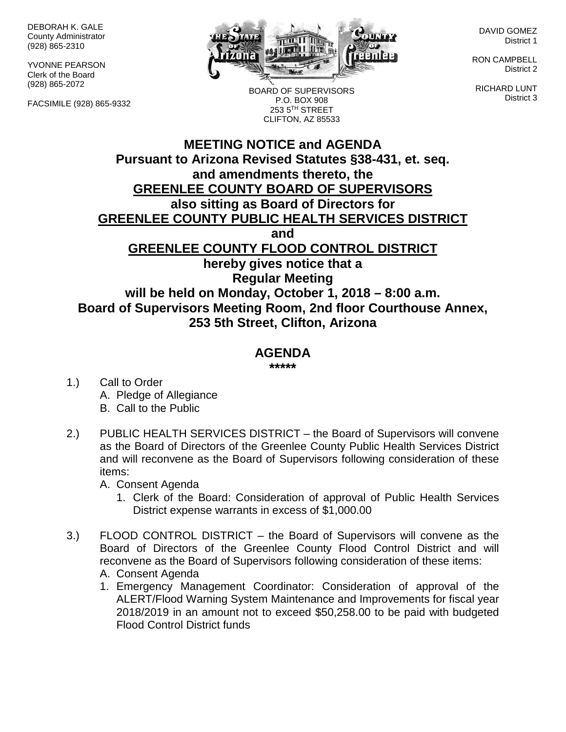DEBORAH K. GALE County Administrator (928) 865-2310

YVONNE PEARSON Clerk of the Board (928) 865-2072

FACSIMILE (928) 865-9332



BOARD OF SUPERVISORS P.O. BOX 908 253 5TH STREET CLIFTON, AZ 85533

DAVID GOMEZ District 1

RON CAMPBELL District 2

RICHARD LUNT District 3

## **MEETING NOTICE and AGENDA Pursuant to Arizona Revised Statutes §38-431, et. seq. and amendments thereto, the GREENLEE COUNTY BOARD OF SUPERVISORS also sitting as Board of Directors for GREENLEE COUNTY PUBLIC HEALTH SERVICES DISTRICT and GREENLEE COUNTY FLOOD CONTROL DISTRICT hereby gives notice that a Regular Meeting will be held on Monday, October 1, 2018 – 8:00 a.m. Board of Supervisors Meeting Room, 2nd floor Courthouse Annex, 253 5th Street, Clifton, Arizona**

## **AGENDA**

**\*\*\*\*\***

- 1.) Call to Order A. Pledge of Allegiance B. Call to the Public
- 2.) PUBLIC HEALTH SERVICES DISTRICT the Board of Supervisors will convene as the Board of Directors of the Greenlee County Public Health Services District and will reconvene as the Board of Supervisors following consideration of these items:

A. Consent Agenda

- 1. Clerk of the Board: Consideration of approval of Public Health Services District expense warrants in excess of \$1,000.00
- 3.) FLOOD CONTROL DISTRICT the Board of Supervisors will convene as the Board of Directors of the Greenlee County Flood Control District and will reconvene as the Board of Supervisors following consideration of these items:
	- A. Consent Agenda
	- 1. Emergency Management Coordinator: Consideration of approval of the ALERT/Flood Warning System Maintenance and Improvements for fiscal year 2018/2019 in an amount not to exceed \$50,258.00 to be paid with budgeted Flood Control District funds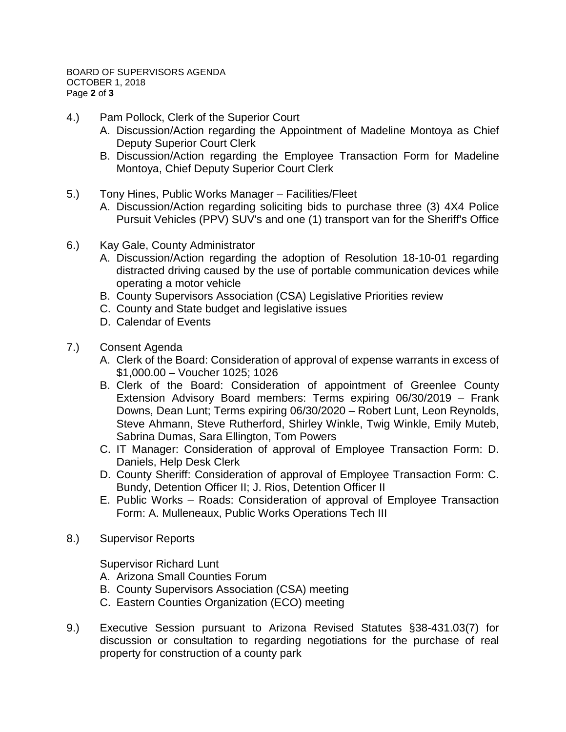- 4.) Pam Pollock, Clerk of the Superior Court
	- A. Discussion/Action regarding the Appointment of Madeline Montoya as Chief Deputy Superior Court Clerk
	- B. Discussion/Action regarding the Employee Transaction Form for Madeline Montoya, Chief Deputy Superior Court Clerk
- 5.) Tony Hines, Public Works Manager Facilities/Fleet
	- A. Discussion/Action regarding soliciting bids to purchase three (3) 4X4 Police Pursuit Vehicles (PPV) SUV's and one (1) transport van for the Sheriff's Office
- 6.) Kay Gale, County Administrator
	- A. Discussion/Action regarding the adoption of Resolution 18-10-01 regarding distracted driving caused by the use of portable communication devices while operating a motor vehicle
	- B. County Supervisors Association (CSA) Legislative Priorities review
	- C. County and State budget and legislative issues
	- D. Calendar of Events
- 7.) Consent Agenda
	- A. Clerk of the Board: Consideration of approval of expense warrants in excess of \$1,000.00 – Voucher 1025; 1026
	- B. Clerk of the Board: Consideration of appointment of Greenlee County Extension Advisory Board members: Terms expiring 06/30/2019 – Frank Downs, Dean Lunt; Terms expiring 06/30/2020 – Robert Lunt, Leon Reynolds, Steve Ahmann, Steve Rutherford, Shirley Winkle, Twig Winkle, Emily Muteb, Sabrina Dumas, Sara Ellington, Tom Powers
	- C. IT Manager: Consideration of approval of Employee Transaction Form: D. Daniels, Help Desk Clerk
	- D. County Sheriff: Consideration of approval of Employee Transaction Form: C. Bundy, Detention Officer II; J. Rios, Detention Officer II
	- E. Public Works Roads: Consideration of approval of Employee Transaction Form: A. Mulleneaux, Public Works Operations Tech III
- 8.) Supervisor Reports

Supervisor Richard Lunt

- A. Arizona Small Counties Forum
- B. County Supervisors Association (CSA) meeting
- C. Eastern Counties Organization (ECO) meeting
- 9.) Executive Session pursuant to Arizona Revised Statutes §38-431.03(7) for discussion or consultation to regarding negotiations for the purchase of real property for construction of a county park